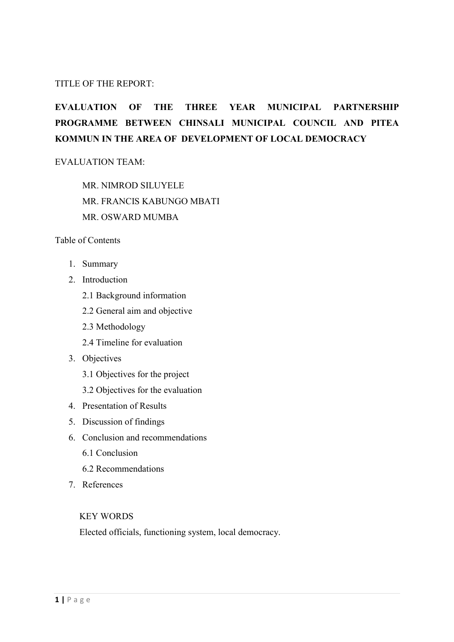#### TITLE OF THE REPORT:

# **EVALUATION OF THE THREE YEAR MUNICIPAL PARTNERSHIP PROGRAMME BETWEEN CHINSALI MUNICIPAL COUNCIL AND PITEA KOMMUN IN THE AREA OF DEVELOPMENT OF LOCAL DEMOCRACY**

#### EVALUATION TEAM:

MR. NIMROD SILUYELE MR. FRANCIS KABUNGO MBATI MR. OSWARD MUMBA

#### Table of Contents

- 1. Summary
- 2. Introduction
	- 2.1 Background information
	- 2.2 General aim and objective
	- 2.3 Methodology
	- 2.4 Timeline for evaluation
- 3. Objectives
	- 3.1 Objectives for the project
	- 3.2 Objectives for the evaluation
- 4. Presentation of Results
- 5. Discussion of findings
- 6. Conclusion and recommendations
	- 6.1 Conclusion
	- 6.2 Recommendations
- 7. References

#### KEY WORDS

Elected officials, functioning system, local democracy.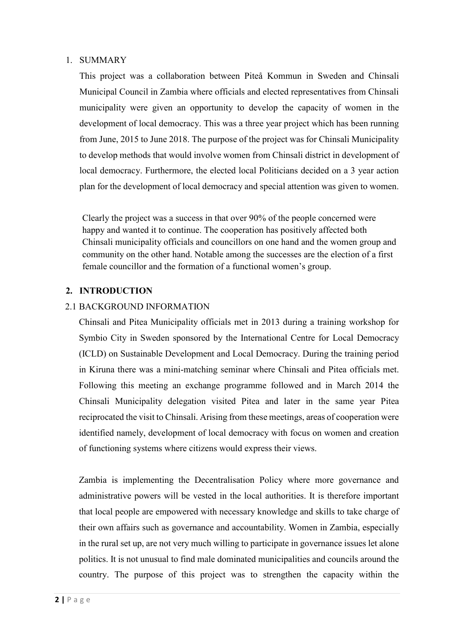#### 1. SUMMARY

This project was a collaboration between Piteå Kommun in Sweden and Chinsali Municipal Council in Zambia where officials and elected representatives from Chinsali municipality were given an opportunity to develop the capacity of women in the development of local democracy. This was a three year project which has been running from June, 2015 to June 2018. The purpose of the project was for Chinsali Municipality to develop methods that would involve women from Chinsali district in development of local democracy. Furthermore, the elected local Politicians decided on a 3 year action plan for the development of local democracy and special attention was given to women.

Clearly the project was a success in that over 90% of the people concerned were happy and wanted it to continue. The cooperation has positively affected both Chinsali municipality officials and councillors on one hand and the women group and community on the other hand. Notable among the successes are the election of a first female councillor and the formation of a functional women's group.

#### **2. INTRODUCTION**

#### 2.1 BACKGROUND INFORMATION

Chinsali and Pitea Municipality officials met in 2013 during a training workshop for Symbio City in Sweden sponsored by the International Centre for Local Democracy (ICLD) on Sustainable Development and Local Democracy. During the training period in Kiruna there was a mini-matching seminar where Chinsali and Pitea officials met. Following this meeting an exchange programme followed and in March 2014 the Chinsali Municipality delegation visited Pitea and later in the same year Pitea reciprocated the visit to Chinsali. Arising from these meetings, areas of cooperation were identified namely, development of local democracy with focus on women and creation of functioning systems where citizens would express their views.

Zambia is implementing the Decentralisation Policy where more governance and administrative powers will be vested in the local authorities. It is therefore important that local people are empowered with necessary knowledge and skills to take charge of their own affairs such as governance and accountability. Women in Zambia, especially in the rural set up, are not very much willing to participate in governance issues let alone politics. It is not unusual to find male dominated municipalities and councils around the country. The purpose of this project was to strengthen the capacity within the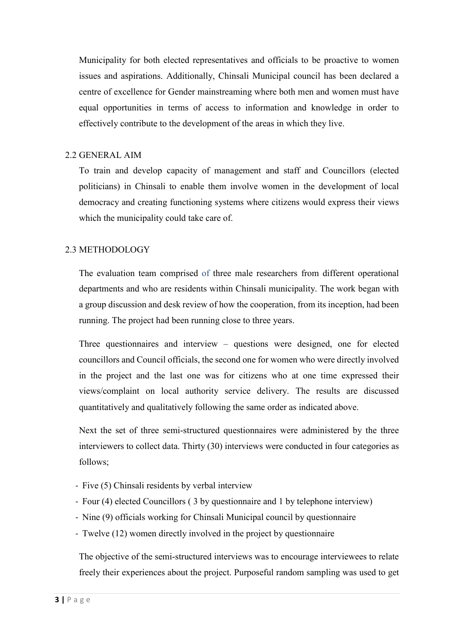Municipality for both elected representatives and officials to be proactive to women issues and aspirations. Additionally, Chinsali Municipal council has been declared a centre of excellence for Gender mainstreaming where both men and women must have equal opportunities in terms of access to information and knowledge in order to effectively contribute to the development of the areas in which they live.

#### 2.2 GENERAL AIM

To train and develop capacity of management and staff and Councillors (elected politicians) in Chinsali to enable them involve women in the development of local democracy and creating functioning systems where citizens would express their views which the municipality could take care of.

### 2.3 METHODOLOGY

The evaluation team comprised of three male researchers from different operational departments and who are residents within Chinsali municipality. The work began with a group discussion and desk review of how the cooperation, from its inception, had been running. The project had been running close to three years.

Three questionnaires and interview – questions were designed, one for elected councillors and Council officials, the second one for women who were directly involved in the project and the last one was for citizens who at one time expressed their views/complaint on local authority service delivery. The results are discussed quantitatively and qualitatively following the same order as indicated above.

Next the set of three semi-structured questionnaires were administered by the three interviewers to collect data. Thirty (30) interviews were conducted in four categories as follows;

- Five (5) Chinsali residents by verbal interview
- Four (4) elected Councillors ( 3 by questionnaire and 1 by telephone interview)
- Nine (9) officials working for Chinsali Municipal council by questionnaire
- Twelve (12) women directly involved in the project by questionnaire

The objective of the semi-structured interviews was to encourage interviewees to relate freely their experiences about the project. Purposeful random sampling was used to get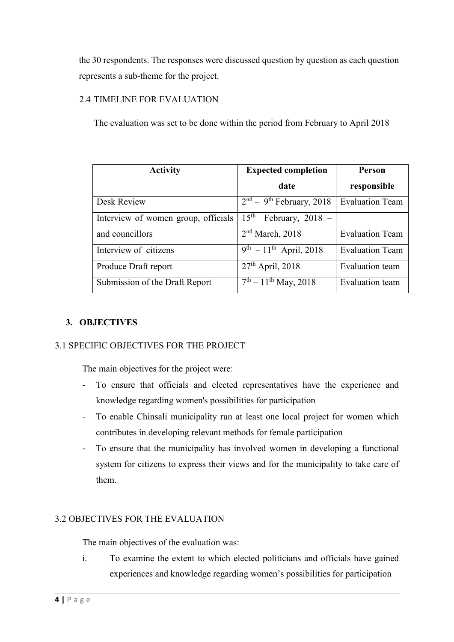the 30 respondents. The responses were discussed question by question as each question represents a sub-theme for the project.

## 2.4 TIMELINE FOR EVALUATION

The evaluation was set to be done within the period from February to April 2018

| <b>Activity</b>                     | <b>Expected completion</b>              | Person                 |  |
|-------------------------------------|-----------------------------------------|------------------------|--|
|                                     | date                                    | responsible            |  |
| Desk Review                         | $2nd - 9th$ February, 2018              | <b>Evaluation Team</b> |  |
| Interview of women group, officials | $15^{\text{th}}$<br>February, $2018 -$  |                        |  |
| and councillors                     | 2 <sup>nd</sup> March, 2018             | <b>Evaluation Team</b> |  |
| Interview of citizens               | $9^{th}$ – 11 <sup>th</sup> April, 2018 | <b>Evaluation Team</b> |  |
| Produce Draft report                | $27th$ April, 2018                      | <b>Evaluation</b> team |  |
| Submission of the Draft Report      | $\overline{7^{th}-11^{th}}$ May, 2018   | Evaluation team        |  |

#### **3. OBJECTIVES**

#### 3.1 SPECIFIC OBJECTIVES FOR THE PROJECT

The main objectives for the project were:

- To ensure that officials and elected representatives have the experience and knowledge regarding women's possibilities for participation
- To enable Chinsali municipality run at least one local project for women which contributes in developing relevant methods for female participation
- To ensure that the municipality has involved women in developing a functional system for citizens to express their views and for the municipality to take care of them.

#### 3.2 OBJECTIVES FOR THE EVALUATION

The main objectives of the evaluation was:

i. To examine the extent to which elected politicians and officials have gained experiences and knowledge regarding women's possibilities for participation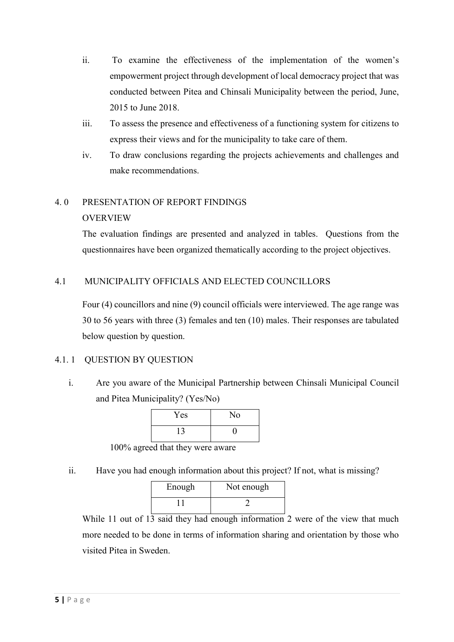- ii. To examine the effectiveness of the implementation of the women's empowerment project through development of local democracy project that was conducted between Pitea and Chinsali Municipality between the period, June, 2015 to June 2018.
- iii. To assess the presence and effectiveness of a functioning system for citizens to express their views and for the municipality to take care of them.
- iv. To draw conclusions regarding the projects achievements and challenges and make recommendations.

# 4. 0 PRESENTATION OF REPORT FINDINGS

### OVERVIEW

The evaluation findings are presented and analyzed in tables. Questions from the questionnaires have been organized thematically according to the project objectives.

### 4.1 MUNICIPALITY OFFICIALS AND ELECTED COUNCILLORS

Four (4) councillors and nine (9) council officials were interviewed. The age range was 30 to 56 years with three (3) females and ten (10) males. Their responses are tabulated below question by question.

# 4.1. 1 QUESTION BY QUESTION

i. Are you aware of the Municipal Partnership between Chinsali Municipal Council and Pitea Municipality? (Yes/No)

| Yes | No |
|-----|----|
| 13  | L  |

100% agreed that they were aware

ii. Have you had enough information about this project? If not, what is missing?

| Enough | Not enough |
|--------|------------|
|        |            |

While 11 out of  $13$  said they had enough information 2 were of the view that much more needed to be done in terms of information sharing and orientation by those who visited Pitea in Sweden.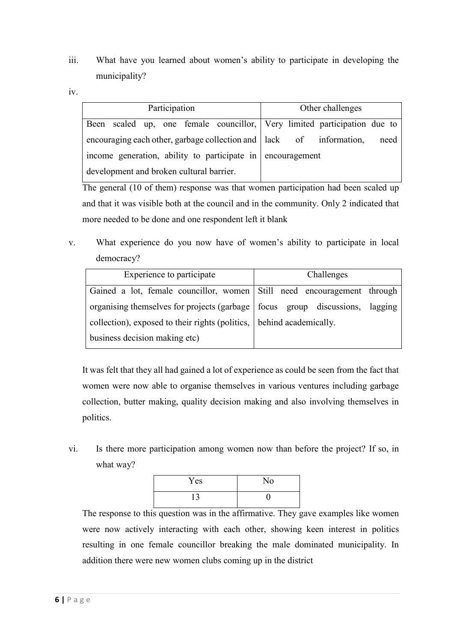- iii. What have you learned about women's ability to participate in developing the municipality?
- iv.

| Participation                                                         |  |  |  |  | Other challenges |      |                                                                          |  |
|-----------------------------------------------------------------------|--|--|--|--|------------------|------|--------------------------------------------------------------------------|--|
|                                                                       |  |  |  |  |                  |      | Been scaled up, one female councillor, Very limited participation due to |  |
| encouraging each other, garbage collection and   lack of information, |  |  |  |  |                  | need |                                                                          |  |
| income generation, ability to participate in encouragement            |  |  |  |  |                  |      |                                                                          |  |
| development and broken cultural barrier.                              |  |  |  |  |                  |      |                                                                          |  |

The general (10 of them) response was that women participation had been scaled up and that it was visible both at the council and in the community. Only 2 indicated that more needed to be done and one respondent left it blank

v. What experience do you now have of women's ability to participate in local democracy?

| Experience to participate                                                      | Challenges |  |  |
|--------------------------------------------------------------------------------|------------|--|--|
|                                                                                |            |  |  |
| Gained a lot, female councillor, women Still need encouragement through        |            |  |  |
|                                                                                |            |  |  |
| organising themselves for projects (garbage   focus group discussions, lagging |            |  |  |
|                                                                                |            |  |  |
| collection), exposed to their rights (politics, behind academically.           |            |  |  |
| business decision making etc)                                                  |            |  |  |
|                                                                                |            |  |  |

It was felt that they all had gained a lot of experience as could be seen from the fact that women were now able to organise themselves in various ventures including garbage collection, butter making, quality decision making and also involving themselves in politics.

vi. Is there more participation among women now than before the project? If so, in what way?

| Yes | No |
|-----|----|
| 13  |    |

The response to this question was in the affirmative. They gave examples like women were now actively interacting with each other, showing keen interest in politics resulting in one female councillor breaking the male dominated municipality. In addition there were new women clubs coming up in the district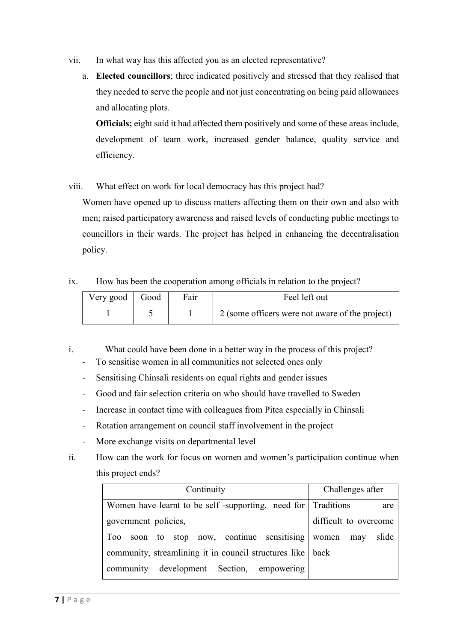- vii. In what way has this affected you as an elected representative?
	- a. **Elected councillors**; three indicated positively and stressed that they realised that they needed to serve the people and not just concentrating on being paid allowances and allocating plots.

**Officials;** eight said it had affected them positively and some of these areas include, development of team work, increased gender balance, quality service and efficiency.

viii. What effect on work for local democracy has this project had?

Women have opened up to discuss matters affecting them on their own and also with men; raised participatory awareness and raised levels of conducting public meetings to councillors in their wards. The project has helped in enhancing the decentralisation policy.

ix. How has been the cooperation among officials in relation to the project?

| Very good Good | Fair | Feel left out                                   |
|----------------|------|-------------------------------------------------|
|                |      | 2 (some officers were not aware of the project) |

- i. What could have been done in a better way in the process of this project?
	- To sensitise women in all communities not selected ones only
	- Sensitising Chinsali residents on equal rights and gender issues
	- Good and fair selection criteria on who should have travelled to Sweden
	- Increase in contact time with colleagues from Pitea especially in Chinsali
	- Rotation arrangement on council staff involvement in the project
	- More exchange visits on departmental level
- ii. How can the work for focus on women and women's participation continue when this project ends?

| Continuity                                                   | Challenges after      |  |  |
|--------------------------------------------------------------|-----------------------|--|--|
| Women have learnt to be self-supporting, need for Traditions | are                   |  |  |
| government policies,                                         | difficult to overcome |  |  |
| soon to stop now, continue sensitising women<br>Too          | slide<br>may          |  |  |
| community, streamlining it in council structures like   back |                       |  |  |
| development Section, empowering<br>community                 |                       |  |  |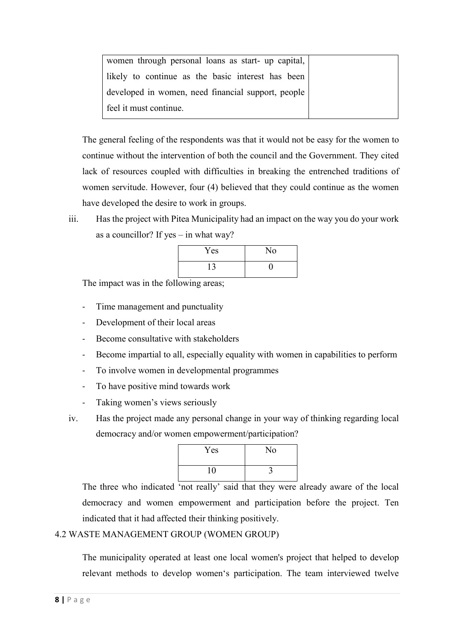| women through personal loans as start- up capital, |  |
|----------------------------------------------------|--|
| likely to continue as the basic interest has been  |  |
| developed in women, need financial support, people |  |
| feel it must continue.                             |  |

The general feeling of the respondents was that it would not be easy for the women to continue without the intervention of both the council and the Government. They cited lack of resources coupled with difficulties in breaking the entrenched traditions of women servitude. However, four (4) believed that they could continue as the women have developed the desire to work in groups.

iii. Has the project with Pitea Municipality had an impact on the way you do your work as a councillor? If yes – in what way?

| Yes | No |
|-----|----|
| 13  |    |

The impact was in the following areas;

- Time management and punctuality
- Development of their local areas
- Become consultative with stakeholders
- Become impartial to all, especially equality with women in capabilities to perform
- To involve women in developmental programmes
- To have positive mind towards work
- Taking women's views seriously
- iv. Has the project made any personal change in your way of thinking regarding local democracy and/or women empowerment/participation?

| Yes | No |
|-----|----|
| 10  |    |

The three who indicated 'not really' said that they were already aware of the local democracy and women empowerment and participation before the project. Ten indicated that it had affected their thinking positively.

#### 4.2 WASTE MANAGEMENT GROUP (WOMEN GROUP)

The municipality operated at least one local women's project that helped to develop relevant methods to develop women's participation. The team interviewed twelve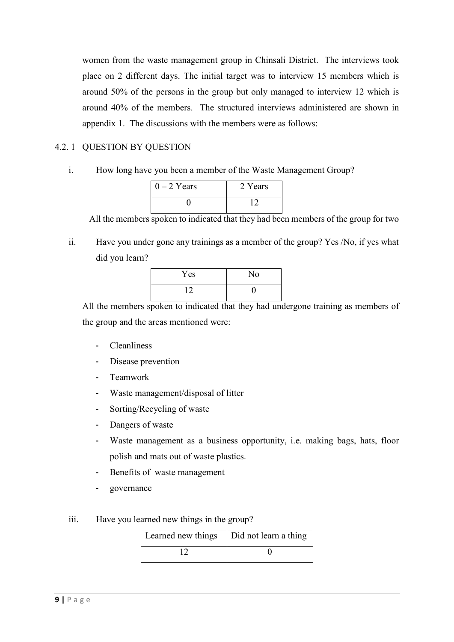women from the waste management group in Chinsali District. The interviews took place on 2 different days. The initial target was to interview 15 members which is around 50% of the persons in the group but only managed to interview 12 which is around 40% of the members. The structured interviews administered are shown in appendix 1. The discussions with the members were as follows:

### 4.2. 1 QUESTION BY QUESTION

i. How long have you been a member of the Waste Management Group?

| $0 - 2$ Years | 2 Years |
|---------------|---------|
|               |         |

All the members spoken to indicated that they had been members of the group for two

ii. Have you under gone any trainings as a member of the group? Yes /No, if yes what did you learn?

| Yes | No |
|-----|----|
| 12  |    |

All the members spoken to indicated that they had undergone training as members of the group and the areas mentioned were:

- **Cleanliness**
- Disease prevention
- Teamwork
- Waste management/disposal of litter
- Sorting/Recycling of waste
- Dangers of waste
- Waste management as a business opportunity, i.e. making bags, hats, floor polish and mats out of waste plastics.
- Benefits of waste management
- governance
- iii. Have you learned new things in the group?

| Learned new things   Did not learn a thing |  |
|--------------------------------------------|--|
|                                            |  |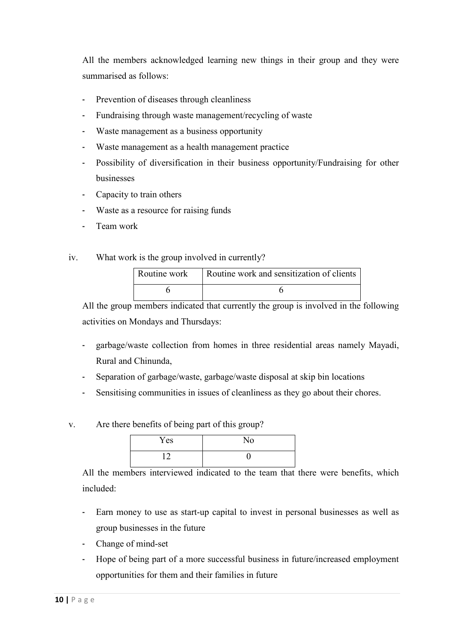All the members acknowledged learning new things in their group and they were summarised as follows:

- Prevention of diseases through cleanliness
- Fundraising through waste management/recycling of waste
- Waste management as a business opportunity
- Waste management as a health management practice
- Possibility of diversification in their business opportunity/Fundraising for other businesses
- Capacity to train others
- Waste as a resource for raising funds
- Team work
- iv. What work is the group involved in currently?

| Routine work Routine work and sensitization of clients |
|--------------------------------------------------------|
|                                                        |

All the group members indicated that currently the group is involved in the following activities on Mondays and Thursdays:

- garbage/waste collection from homes in three residential areas namely Mayadi, Rural and Chinunda,
- Separation of garbage/waste, garbage/waste disposal at skip bin locations
- Sensitising communities in issues of cleanliness as they go about their chores.
- v. Are there benefits of being part of this group?

| Yes | No |
|-----|----|
| 1 ິ |    |

All the members interviewed indicated to the team that there were benefits, which included:

- Earn money to use as start-up capital to invest in personal businesses as well as group businesses in the future
- Change of mind-set
- Hope of being part of a more successful business in future/increased employment opportunities for them and their families in future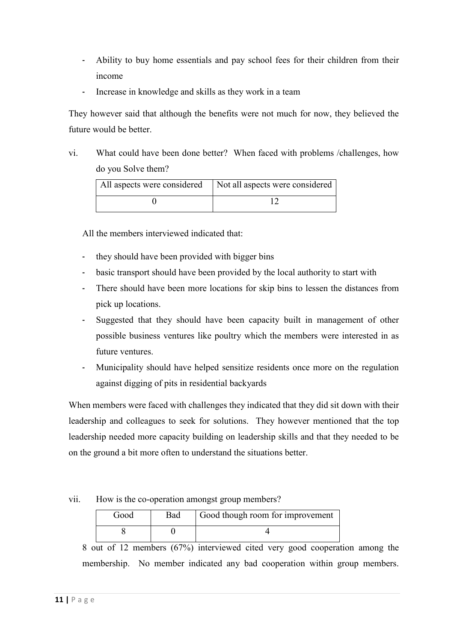- Ability to buy home essentials and pay school fees for their children from their income
- Increase in knowledge and skills as they work in a team

They however said that although the benefits were not much for now, they believed the future would be better.

vi. What could have been done better? When faced with problems /challenges, how do you Solve them?

| All aspects were considered   Not all aspects were considered |
|---------------------------------------------------------------|
|                                                               |

All the members interviewed indicated that:

- they should have been provided with bigger bins
- basic transport should have been provided by the local authority to start with
- There should have been more locations for skip bins to lessen the distances from pick up locations.
- Suggested that they should have been capacity built in management of other possible business ventures like poultry which the members were interested in as future ventures.
- Municipality should have helped sensitize residents once more on the regulation against digging of pits in residential backyards

When members were faced with challenges they indicated that they did sit down with their leadership and colleagues to seek for solutions. They however mentioned that the top leadership needed more capacity building on leadership skills and that they needed to be on the ground a bit more often to understand the situations better.

#### vii. How is the co-operation amongst group members?

| Good | Bad | Good though room for improvement |
|------|-----|----------------------------------|
|      |     |                                  |

8 out of 12 members (67%) interviewed cited very good cooperation among the membership. No member indicated any bad cooperation within group members.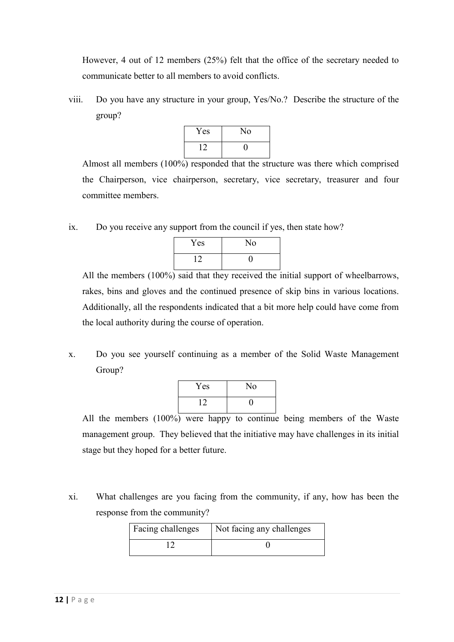However, 4 out of 12 members (25%) felt that the office of the secretary needed to communicate better to all members to avoid conflicts.

viii. Do you have any structure in your group, Yes/No.? Describe the structure of the group?



Almost all members (100%) responded that the structure was there which comprised the Chairperson, vice chairperson, secretary, vice secretary, treasurer and four committee members.

ix. Do you receive any support from the council if yes, then state how?



All the members (100%) said that they received the initial support of wheelbarrows, rakes, bins and gloves and the continued presence of skip bins in various locations. Additionally, all the respondents indicated that a bit more help could have come from the local authority during the course of operation.

x. Do you see yourself continuing as a member of the Solid Waste Management Group?

| Yes | No |
|-----|----|
| 12  | 0  |

All the members (100%) were happy to continue being members of the Waste management group. They believed that the initiative may have challenges in its initial stage but they hoped for a better future.

xi. What challenges are you facing from the community, if any, how has been the response from the community?

| Facing challenges | Not facing any challenges |
|-------------------|---------------------------|
|                   |                           |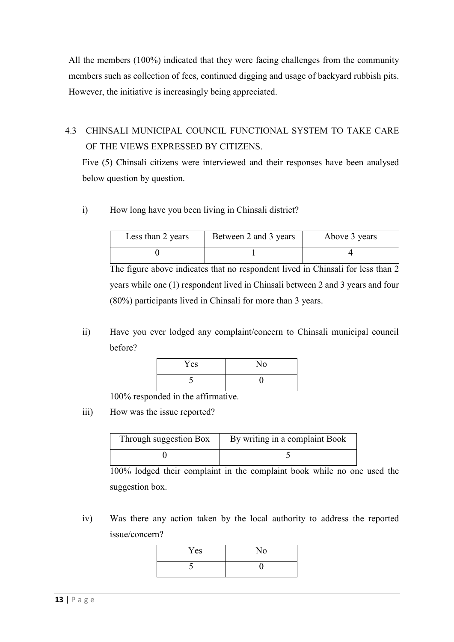All the members (100%) indicated that they were facing challenges from the community members such as collection of fees, continued digging and usage of backyard rubbish pits. However, the initiative is increasingly being appreciated.

# 4.3 CHINSALI MUNICIPAL COUNCIL FUNCTIONAL SYSTEM TO TAKE CARE OF THE VIEWS EXPRESSED BY CITIZENS.

Five (5) Chinsali citizens were interviewed and their responses have been analysed below question by question.

i) How long have you been living in Chinsali district?

| Less than 2 years | Between 2 and 3 years | Above 3 years |
|-------------------|-----------------------|---------------|
|                   |                       |               |

The figure above indicates that no respondent lived in Chinsali for less than 2 years while one (1) respondent lived in Chinsali between 2 and 3 years and four (80%) participants lived in Chinsali for more than 3 years.

ii) Have you ever lodged any complaint/concern to Chinsali municipal council before?

| Yes | No |
|-----|----|
|     |    |

100% responded in the affirmative.

iii) How was the issue reported?

| Through suggestion Box | By writing in a complaint Book |
|------------------------|--------------------------------|
|                        |                                |

100% lodged their complaint in the complaint book while no one used the suggestion box.

iv) Was there any action taken by the local authority to address the reported issue/concern?

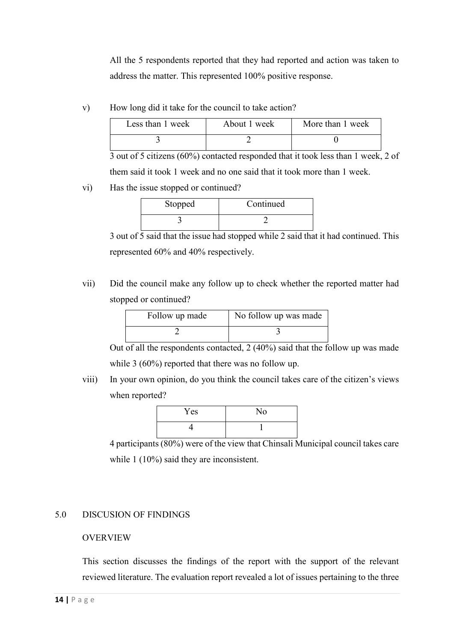All the 5 respondents reported that they had reported and action was taken to address the matter. This represented 100% positive response.

v) How long did it take for the council to take action?

| Less than 1 week | About 1 week | More than 1 week |
|------------------|--------------|------------------|
|                  |              |                  |

3 out of 5 citizens (60%) contacted responded that it took less than 1 week, 2 of them said it took 1 week and no one said that it took more than 1 week.

vi) Has the issue stopped or continued?

| Stopped | Continued |
|---------|-----------|
|         |           |

3 out of 5 said that the issue had stopped while 2 said that it had continued. This represented 60% and 40% respectively.

vii) Did the council make any follow up to check whether the reported matter had stopped or continued?

| Follow up made | No follow up was made |
|----------------|-----------------------|
|                |                       |

Out of all the respondents contacted,  $2(40\%)$  said that the follow up was made while 3 (60%) reported that there was no follow up.

viii) In your own opinion, do you think the council takes care of the citizen's views when reported?



4 participants (80%) were of the view that Chinsali Municipal council takes care while 1 (10%) said they are inconsistent.

# 5.0 DISCUSION OF FINDINGS

#### OVERVIEW

This section discusses the findings of the report with the support of the relevant reviewed literature. The evaluation report revealed a lot of issues pertaining to the three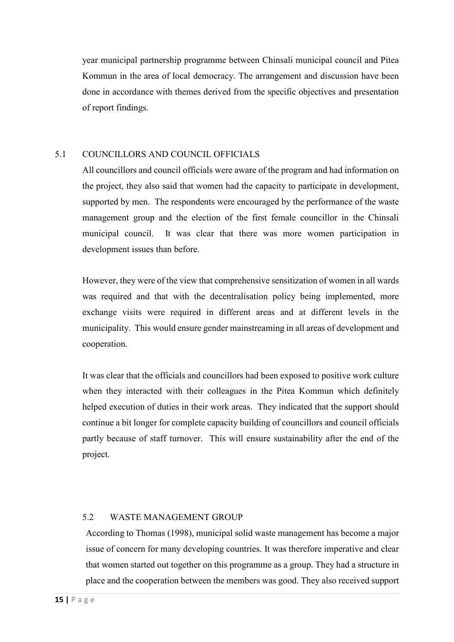year municipal partnership programme between Chinsali municipal council and Pitea Kommun in the area of local democracy. The arrangement and discussion have been done in accordance with themes derived from the specific objectives and presentation of report findings.

## 5.1 COUNCILLORS AND COUNCIL OFFICIALS

All councillors and council officials were aware of the program and had information on the project, they also said that women had the capacity to participate in development, supported by men. The respondents were encouraged by the performance of the waste management group and the election of the first female councillor in the Chinsali municipal council. It was clear that there was more women participation in development issues than before.

However, they were of the view that comprehensive sensitization of women in all wards was required and that with the decentralisation policy being implemented, more exchange visits were required in different areas and at different levels in the municipality. This would ensure gender mainstreaming in all areas of development and cooperation.

It was clear that the officials and councillors had been exposed to positive work culture when they interacted with their colleagues in the Pitea Kommun which definitely helped execution of duties in their work areas. They indicated that the support should continue a bit longer for complete capacity building of councillors and council officials partly because of staff turnover. This will ensure sustainability after the end of the project.

#### 5.2 WASTE MANAGEMENT GROUP

According to Thomas (1998), municipal solid waste management has become a major issue of concern for many developing countries. It was therefore imperative and clear that women started out together on this programme as a group. They had a structure in place and the cooperation between the members was good. They also received support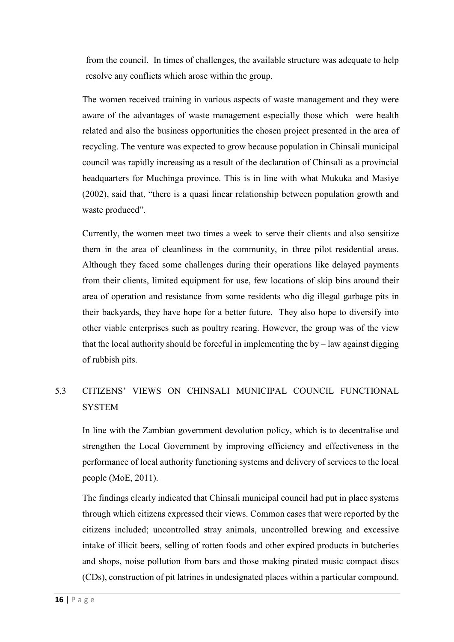from the council. In times of challenges, the available structure was adequate to help resolve any conflicts which arose within the group.

The women received training in various aspects of waste management and they were aware of the advantages of waste management especially those which were health related and also the business opportunities the chosen project presented in the area of recycling. The venture was expected to grow because population in Chinsali municipal council was rapidly increasing as a result of the declaration of Chinsali as a provincial headquarters for Muchinga province. This is in line with what Mukuka and Masiye (2002), said that, "there is a quasi linear relationship between population growth and waste produced".

Currently, the women meet two times a week to serve their clients and also sensitize them in the area of cleanliness in the community, in three pilot residential areas. Although they faced some challenges during their operations like delayed payments from their clients, limited equipment for use, few locations of skip bins around their area of operation and resistance from some residents who dig illegal garbage pits in their backyards, they have hope for a better future. They also hope to diversify into other viable enterprises such as poultry rearing. However, the group was of the view that the local authority should be forceful in implementing the  $by$  – law against digging of rubbish pits.

# 5.3 CITIZENS' VIEWS ON CHINSALI MUNICIPAL COUNCIL FUNCTIONAL **SYSTEM**

In line with the Zambian government devolution policy, which is to decentralise and strengthen the Local Government by improving efficiency and effectiveness in the performance of local authority functioning systems and delivery of services to the local people (MoE, 2011).

The findings clearly indicated that Chinsali municipal council had put in place systems through which citizens expressed their views. Common cases that were reported by the citizens included; uncontrolled stray animals, uncontrolled brewing and excessive intake of illicit beers, selling of rotten foods and other expired products in butcheries and shops, noise pollution from bars and those making pirated music compact discs (CDs), construction of pit latrines in undesignated places within a particular compound.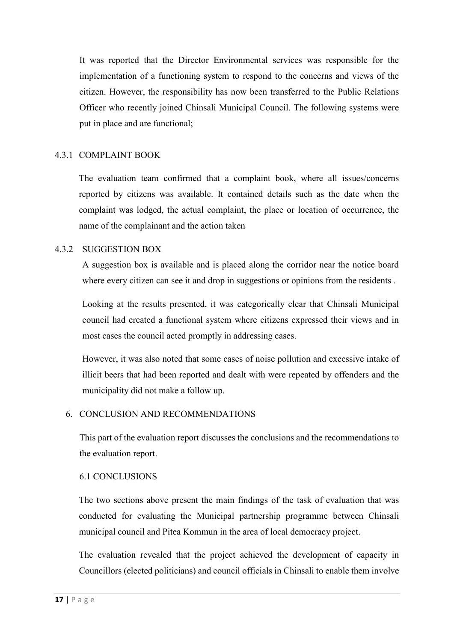It was reported that the Director Environmental services was responsible for the implementation of a functioning system to respond to the concerns and views of the citizen. However, the responsibility has now been transferred to the Public Relations Officer who recently joined Chinsali Municipal Council. The following systems were put in place and are functional;

#### 4.3.1 COMPLAINT BOOK

The evaluation team confirmed that a complaint book, where all issues/concerns reported by citizens was available. It contained details such as the date when the complaint was lodged, the actual complaint, the place or location of occurrence, the name of the complainant and the action taken

#### 4.3.2 SUGGESTION BOX

A suggestion box is available and is placed along the corridor near the notice board where every citizen can see it and drop in suggestions or opinions from the residents.

Looking at the results presented, it was categorically clear that Chinsali Municipal council had created a functional system where citizens expressed their views and in most cases the council acted promptly in addressing cases.

However, it was also noted that some cases of noise pollution and excessive intake of illicit beers that had been reported and dealt with were repeated by offenders and the municipality did not make a follow up.

#### 6. CONCLUSION AND RECOMMENDATIONS

This part of the evaluation report discusses the conclusions and the recommendations to the evaluation report.

#### 6.1 CONCLUSIONS

The two sections above present the main findings of the task of evaluation that was conducted for evaluating the Municipal partnership programme between Chinsali municipal council and Pitea Kommun in the area of local democracy project.

The evaluation revealed that the project achieved the development of capacity in Councillors (elected politicians) and council officials in Chinsali to enable them involve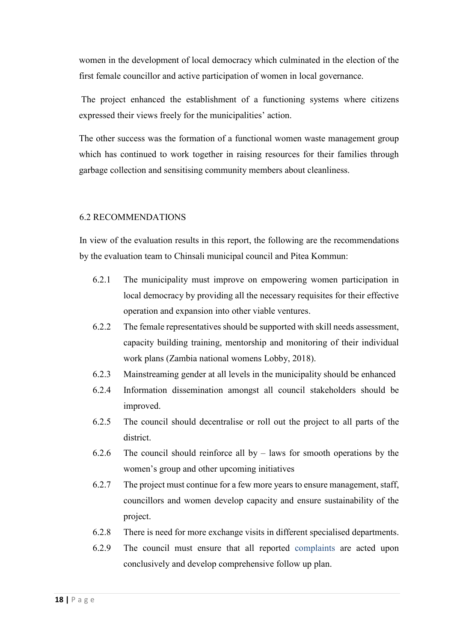women in the development of local democracy which culminated in the election of the first female councillor and active participation of women in local governance.

The project enhanced the establishment of a functioning systems where citizens expressed their views freely for the municipalities' action.

The other success was the formation of a functional women waste management group which has continued to work together in raising resources for their families through garbage collection and sensitising community members about cleanliness.

#### 6.2 RECOMMENDATIONS

In view of the evaluation results in this report, the following are the recommendations by the evaluation team to Chinsali municipal council and Pitea Kommun:

- 6.2.1 The municipality must improve on empowering women participation in local democracy by providing all the necessary requisites for their effective operation and expansion into other viable ventures.
- 6.2.2 The female representatives should be supported with skill needs assessment, capacity building training, mentorship and monitoring of their individual work plans (Zambia national womens Lobby, 2018).
- 6.2.3 Mainstreaming gender at all levels in the municipality should be enhanced
- 6.2.4 Information dissemination amongst all council stakeholders should be improved.
- 6.2.5 The council should decentralise or roll out the project to all parts of the district.
- 6.2.6 The council should reinforce all by  $-$  laws for smooth operations by the women's group and other upcoming initiatives
- 6.2.7 The project must continue for a few more years to ensure management, staff, councillors and women develop capacity and ensure sustainability of the project.
- 6.2.8 There is need for more exchange visits in different specialised departments.
- 6.2.9 The council must ensure that all reported complaints are acted upon conclusively and develop comprehensive follow up plan.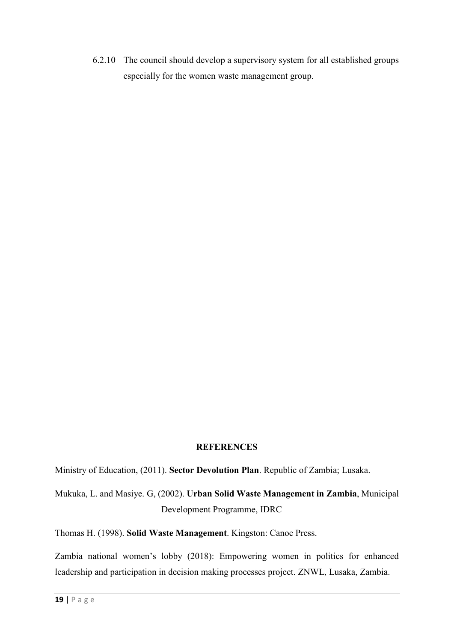6.2.10 The council should develop a supervisory system for all established groups especially for the women waste management group.

#### **REFERENCES**

Ministry of Education, (2011). **Sector Devolution Plan**. Republic of Zambia; Lusaka.

Mukuka, L. and Masiye. G, (2002). **Urban Solid Waste Management in Zambia**, Municipal Development Programme, IDRC

Thomas H. (1998). **Solid Waste Management**. Kingston: Canoe Press.

Zambia national women's lobby (2018): Empowering women in politics for enhanced leadership and participation in decision making processes project. ZNWL, Lusaka, Zambia.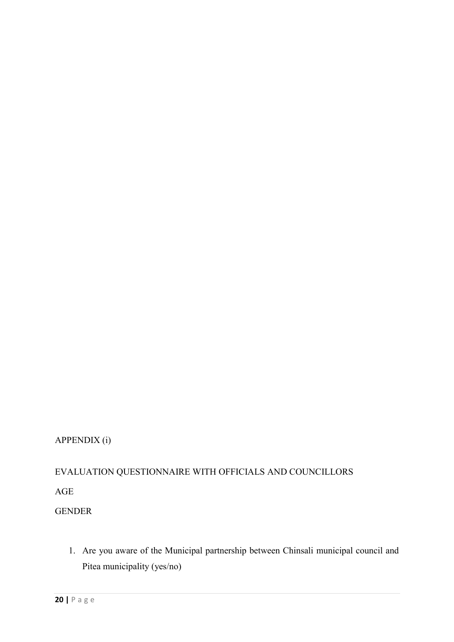# APPENDIX (i)

# EVALUATION QUESTIONNAIRE WITH OFFICIALS AND COUNCILLORS

AGE

GENDER

1. Are you aware of the Municipal partnership between Chinsali municipal council and Pitea municipality (yes/no)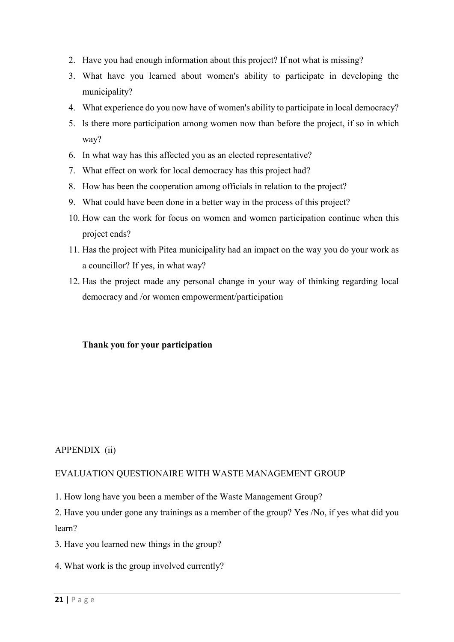- 2. Have you had enough information about this project? If not what is missing?
- 3. What have you learned about women's ability to participate in developing the municipality?
- 4. What experience do you now have of women's ability to participate in local democracy?
- 5. ls there more participation among women now than before the project, if so in which way?
- 6. In what way has this affected you as an elected representative?
- 7. What effect on work for local democracy has this project had?
- 8. How has been the cooperation among officials in relation to the project?
- 9. What could have been done in a better way in the process of this project?
- 10. How can the work for focus on women and women participation continue when this project ends?
- 11. Has the project with Pitea municipality had an impact on the way you do your work as a councillor? If yes, in what way?
- 12. Has the project made any personal change in your way of thinking regarding local democracy and /or women empowerment/participation

#### **Thank you for your participation**

#### APPENDIX (ii)

#### EVALUATION QUESTIONAIRE WITH WASTE MANAGEMENT GROUP

1. How long have you been a member of the Waste Management Group?

2. Have you under gone any trainings as a member of the group? Yes /No, if yes what did you learn?

3. Have you learned new things in the group?

4. What work is the group involved currently?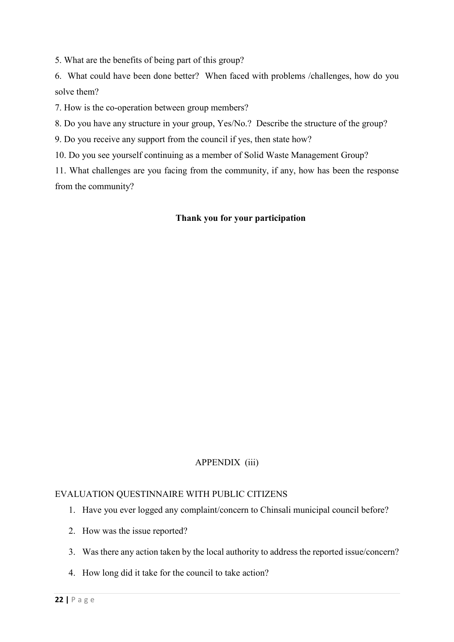5. What are the benefits of being part of this group?

6. What could have been done better? When faced with problems /challenges, how do you solve them?

7. How is the co-operation between group members?

8. Do you have any structure in your group, Yes/No.? Describe the structure of the group?

9. Do you receive any support from the council if yes, then state how?

10. Do you see yourself continuing as a member of Solid Waste Management Group?

11. What challenges are you facing from the community, if any, how has been the response from the community?

#### **Thank you for your participation**

#### APPENDIX (iii)

#### EVALUATION QUESTINNAIRE WITH PUBLIC CITIZENS

- 1. Have you ever logged any complaint/concern to Chinsali municipal council before?
- 2. How was the issue reported?
- 3. Was there any action taken by the local authority to address the reported issue/concern?
- 4. How long did it take for the council to take action?